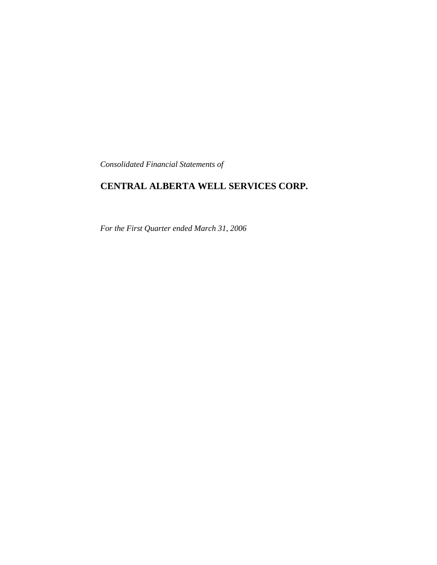*Consolidated Financial Statements of*

# **CENTRAL ALBERTA WELL SERVICES CORP.**

*For the First Quarter ended March 31, 2006*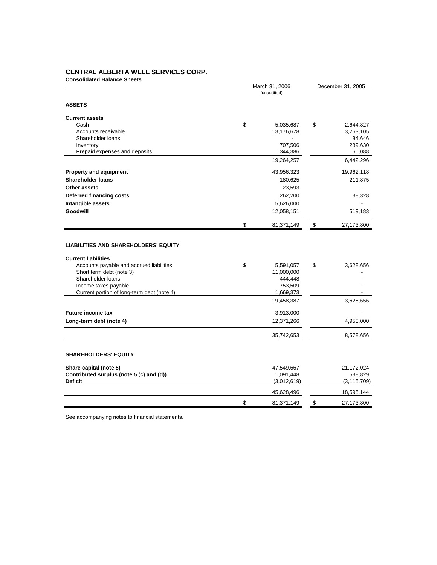# **CENTRAL ALBERTA WELL SERVICES CORP.**

| <b>Consolidated Balance Sheets</b>                                                                                      | March 31, 2006                           |                         | December 31, 2005        |
|-------------------------------------------------------------------------------------------------------------------------|------------------------------------------|-------------------------|--------------------------|
|                                                                                                                         | (unaudited)                              |                         |                          |
| <b>ASSETS</b>                                                                                                           |                                          |                         |                          |
| <b>Current assets</b>                                                                                                   |                                          |                         |                          |
| Cash                                                                                                                    | \$<br>5,035,687                          | \$                      | 2,644,827                |
| Accounts receivable                                                                                                     | 13,176,678                               |                         | 3,263,105                |
| Shareholder loans                                                                                                       |                                          |                         | 84,646                   |
| Inventory                                                                                                               | 707,506                                  |                         | 289,630                  |
| Prepaid expenses and deposits                                                                                           | 344,386                                  |                         | 160,088                  |
|                                                                                                                         | 19,264,257                               |                         | 6,442,296                |
| <b>Property and equipment</b>                                                                                           | 43,956,323                               |                         | 19,962,118               |
| <b>Shareholder loans</b>                                                                                                | 180,625                                  |                         | 211,875                  |
| Other assets                                                                                                            | 23,593                                   |                         |                          |
| Deferred financing costs                                                                                                | 262,200                                  |                         | 38,328                   |
| Intangible assets                                                                                                       | 5,626,000                                |                         |                          |
| <b>Goodwill</b>                                                                                                         | 12,058,151                               |                         | 519,183                  |
|                                                                                                                         | \$<br>81,371,149                         | \$                      | 27,173,800               |
| <b>Current liabilities</b><br>Accounts payable and accrued liabilities<br>Short term debt (note 3)<br>Shareholder loans | \$<br>5,591,057<br>11,000,000<br>444,448 | \$                      | 3,628,656                |
| Income taxes payable                                                                                                    | 753,509                                  |                         |                          |
| Current portion of long-term debt (note 4)                                                                              | 1,669,373                                |                         |                          |
|                                                                                                                         | 19,458,387                               |                         | 3,628,656                |
| <b>Future income tax</b>                                                                                                | 3,913,000                                |                         |                          |
| Long-term debt (note 4)                                                                                                 | 12,371,266                               |                         | 4,950,000                |
|                                                                                                                         | 35,742,653                               |                         | 8,578,656                |
| <b>SHAREHOLDERS' EQUITY</b>                                                                                             |                                          |                         |                          |
| Share capital (note 5)                                                                                                  | 47,549,667                               |                         | 21,172,024               |
| Contributed surplus (note 5 (c) and (d))<br><b>Deficit</b>                                                              | 1,091,448<br>(3,012,619)                 |                         | 538,829<br>(3, 115, 709) |
|                                                                                                                         | 45,628,496                               |                         | 18,595,144               |
|                                                                                                                         | \$<br>81,371,149                         | $\sqrt[6]{\frac{1}{2}}$ | 27,173,800               |
|                                                                                                                         |                                          |                         |                          |

See accompanying notes to financial statements.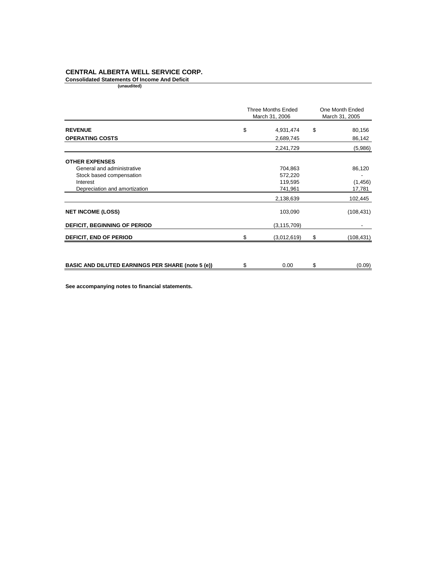# **CENTRAL ALBERTA WELL SERVICE CORP.**

**Consolidated Statements Of Income And Deficit**

**(unaudited)** 

|                                                          | Three Months Ended<br>March 31, 2006 |               | One Month Ended<br>March 31, 2005 |            |
|----------------------------------------------------------|--------------------------------------|---------------|-----------------------------------|------------|
| <b>REVENUE</b>                                           | \$                                   | 4,931,474     | \$                                | 80,156     |
| <b>OPERATING COSTS</b>                                   |                                      | 2,689,745     |                                   | 86,142     |
|                                                          |                                      | 2,241,729     |                                   | (5,986)    |
| <b>OTHER EXPENSES</b>                                    |                                      |               |                                   |            |
| General and administrative                               |                                      | 704,863       |                                   | 86,120     |
| Stock based compensation                                 |                                      | 572,220       |                                   |            |
| Interest                                                 |                                      | 119,595       |                                   | (1, 456)   |
| Depreciation and amortization                            |                                      | 741,961       |                                   | 17,781     |
|                                                          |                                      | 2,138,639     |                                   | 102,445    |
| <b>NET INCOME (LOSS)</b>                                 |                                      | 103,090       |                                   | (108, 431) |
| <b>DEFICIT, BEGINNING OF PERIOD</b>                      |                                      | (3, 115, 709) |                                   |            |
| <b>DEFICIT, END OF PERIOD</b>                            |                                      | (3,012,619)   | \$                                | (108, 431) |
|                                                          |                                      |               |                                   |            |
| <b>BASIC AND DILUTED EARNINGS PER SHARE (note 5 (e))</b> | \$                                   | 0.00          | \$                                | (0.09)     |

**See accompanying notes to financial statements.**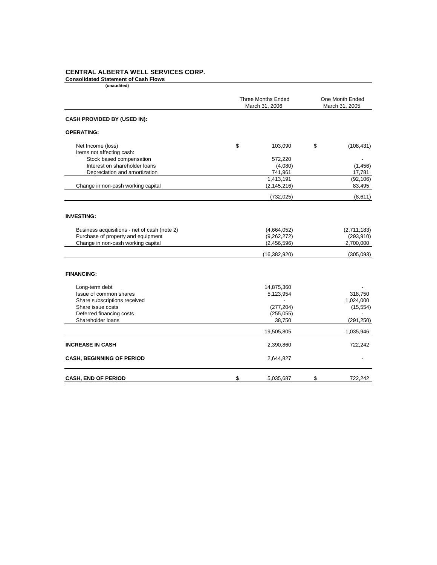# **CENTRAL ALBERTA WELL SERVICES CORP.**

**Consolidated Statement of Cash Flows**

| <b>Three Months Ended</b><br>March 31, 2006 |                | One Month Ended<br>March 31, 2005                                                            |                          |
|---------------------------------------------|----------------|----------------------------------------------------------------------------------------------|--------------------------|
|                                             |                |                                                                                              |                          |
|                                             |                |                                                                                              |                          |
| \$                                          | 103,090        | \$                                                                                           | (108, 431)               |
|                                             |                |                                                                                              |                          |
|                                             | 572,220        |                                                                                              | $\overline{\phantom{a}}$ |
|                                             | (4,080)        |                                                                                              | (1, 456)                 |
|                                             |                |                                                                                              | 17,781                   |
|                                             |                |                                                                                              | (92, 106)                |
|                                             |                |                                                                                              | 83,495                   |
|                                             | (732, 025)     |                                                                                              | (8,611)                  |
|                                             |                |                                                                                              |                          |
|                                             | (4,664,052)    |                                                                                              | (2,711,183)              |
|                                             | (9,262,272)    |                                                                                              | (293, 910)               |
|                                             | (2,456,596)    |                                                                                              | 2,700,000                |
|                                             | (16, 382, 920) |                                                                                              | (305,093)                |
|                                             |                |                                                                                              |                          |
|                                             |                |                                                                                              |                          |
|                                             |                |                                                                                              | 318,750                  |
|                                             |                |                                                                                              | 1,024,000                |
|                                             |                |                                                                                              | (15, 554)                |
|                                             |                |                                                                                              |                          |
|                                             | 38,750         |                                                                                              | (291, 250)               |
|                                             | 19,505,805     |                                                                                              | 1,035,946                |
|                                             | 2,390,860      |                                                                                              | 722,242                  |
|                                             | 2,644,827      |                                                                                              |                          |
| \$                                          | 5,035,687      | \$                                                                                           | 722,242                  |
|                                             |                | 741,961<br>1,413,191<br>(2, 145, 216)<br>14,875,360<br>5,123,954<br>(277, 204)<br>(255, 055) |                          |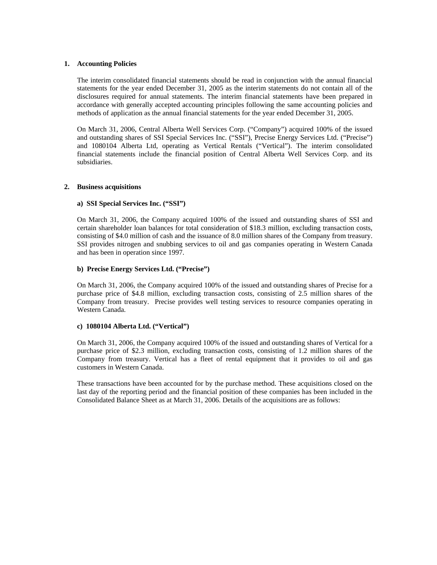#### **1. Accounting Policies**

The interim consolidated financial statements should be read in conjunction with the annual financial statements for the year ended December 31, 2005 as the interim statements do not contain all of the disclosures required for annual statements. The interim financial statements have been prepared in accordance with generally accepted accounting principles following the same accounting policies and methods of application as the annual financial statements for the year ended December 31, 2005.

On March 31, 2006, Central Alberta Well Services Corp. ("Company") acquired 100% of the issued and outstanding shares of SSI Special Services Inc. ("SSI"), Precise Energy Services Ltd. ("Precise") and 1080104 Alberta Ltd, operating as Vertical Rentals ("Vertical"). The interim consolidated financial statements include the financial position of Central Alberta Well Services Corp. and its subsidiaries.

#### **2. Business acquisitions**

#### **a) SSI Special Services Inc. ("SSI")**

On March 31, 2006, the Company acquired 100% of the issued and outstanding shares of SSI and certain shareholder loan balances for total consideration of \$18.3 million, excluding transaction costs, consisting of \$4.0 million of cash and the issuance of 8.0 million shares of the Company from treasury. SSI provides nitrogen and snubbing services to oil and gas companies operating in Western Canada and has been in operation since 1997.

# **b) Precise Energy Services Ltd. ("Precise")**

On March 31, 2006, the Company acquired 100% of the issued and outstanding shares of Precise for a purchase price of \$4.8 million, excluding transaction costs, consisting of 2.5 million shares of the Company from treasury. Precise provides well testing services to resource companies operating in Western Canada.

#### **c) 1080104 Alberta Ltd. ("Vertical")**

On March 31, 2006, the Company acquired 100% of the issued and outstanding shares of Vertical for a purchase price of \$2.3 million, excluding transaction costs, consisting of 1.2 million shares of the Company from treasury. Vertical has a fleet of rental equipment that it provides to oil and gas customers in Western Canada.

These transactions have been accounted for by the purchase method. These acquisitions closed on the last day of the reporting period and the financial position of these companies has been included in the Consolidated Balance Sheet as at March 31, 2006. Details of the acquisitions are as follows: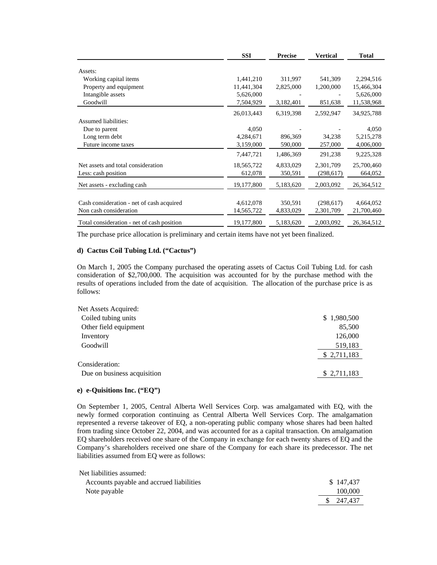|                                            | <b>SSI</b> | <b>Precise</b> | <b>Vertical</b> | <b>Total</b> |
|--------------------------------------------|------------|----------------|-----------------|--------------|
| Assets:                                    |            |                |                 |              |
| Working capital items                      | 1,441,210  | 311,997        | 541,309         | 2,294,516    |
| Property and equipment                     | 11,441,304 | 2,825,000      | 1,200,000       | 15,466,304   |
| Intangible assets                          | 5,626,000  |                |                 | 5,626,000    |
| Goodwill                                   | 7,504,929  | 3,182,401      | 851,638         | 11,538,968   |
|                                            | 26,013,443 | 6,319,398      | 2,592,947       | 34,925,788   |
| <b>Assumed liabilities:</b>                |            |                |                 |              |
| Due to parent                              | 4,050      |                |                 | 4,050        |
| Long term debt                             | 4,284,671  | 896,369        | 34,238          | 5,215,278    |
| Future income taxes                        | 3,159,000  | 590,000        | 257,000         | 4,006,000    |
|                                            | 7,447,721  | 1,486,369      | 291,238         | 9,225,328    |
| Net assets and total consideration         | 18,565,722 | 4,833,029      | 2,301,709       | 25,700,460   |
| Less: cash position                        | 612,078    | 350,591        | (298, 617)      | 664,052      |
| Net assets - excluding cash                | 19,177,800 | 5,183,620      | 2,003,092       | 26,364,512   |
|                                            |            |                |                 |              |
| Cash consideration - net of cash acquired  | 4,612,078  | 350,591        | (298, 617)      | 4,664,052    |
| Non cash consideration                     | 14,565,722 | 4,833,029      | 2,301,709       | 21,700,460   |
| Total consideration - net of cash position | 19,177,800 | 5,183,620      | 2,003,092       | 26,364,512   |

The purchase price allocation is preliminary and certain items have not yet been finalized.

#### **d) Cactus Coil Tubing Ltd. ("Cactus")**

On March 1, 2005 the Company purchased the operating assets of Cactus Coil Tubing Ltd. for cash consideration of \$2,700,000. The acquisition was accounted for by the purchase method with the results of operations included from the date of acquisition. The allocation of the purchase price is as follows:

| Net Assets Acquired:        |             |
|-----------------------------|-------------|
| Coiled tubing units         | \$1,980,500 |
| Other field equipment       | 85,500      |
| Inventory                   | 126,000     |
| Goodwill                    | 519,183     |
|                             | \$2,711,183 |
| Consideration:              |             |
| Due on business acquisition | \$2,711,183 |
|                             |             |

# **e) e-Quisitions Inc. ("EQ")**

On September 1, 2005, Central Alberta Well Services Corp. was amalgamated with EQ, with the newly formed corporation continuing as Central Alberta Well Services Corp. The amalgamation represented a reverse takeover of EQ, a non-operating public company whose shares had been halted from trading since October 22, 2004, and was accounted for as a capital transaction. On amalgamation EQ shareholders received one share of the Company in exchange for each twenty shares of EQ and the Company's shareholders received one share of the Company for each share its predecessor. The net liabilities assumed from EQ were as follows:

| Net liabilities assumed:                 |                       |
|------------------------------------------|-----------------------|
| Accounts payable and accrued liabilities | \$147.437             |
| Note payable                             | 100,000               |
|                                          | $\frac{1}{2}$ 247,437 |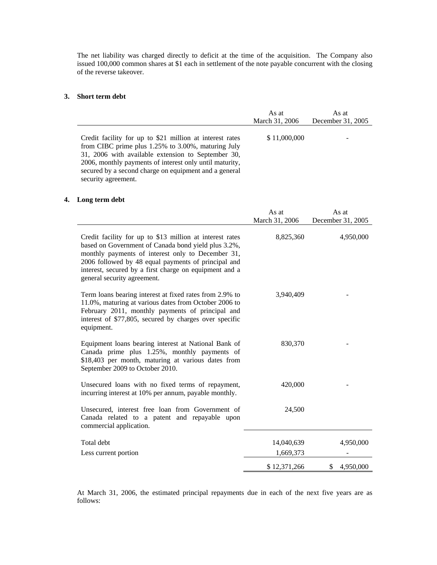The net liability was charged directly to deficit at the time of the acquisition. The Company also issued 100,000 common shares at \$1 each in settlement of the note payable concurrent with the closing of the reverse takeover.

#### **3. Short term debt**

|                                                                                                                                                                                                                                                                                                                 | As at          | As at             |
|-----------------------------------------------------------------------------------------------------------------------------------------------------------------------------------------------------------------------------------------------------------------------------------------------------------------|----------------|-------------------|
|                                                                                                                                                                                                                                                                                                                 | March 31, 2006 | December 31, 2005 |
| Credit facility for up to \$21 million at interest rates<br>from CIBC prime plus 1.25% to 3.00%, maturing July<br>31, 2006 with available extension to September 30,<br>2006, monthly payments of interest only until maturity,<br>secured by a second charge on equipment and a general<br>security agreement. | \$11,000,000   | -                 |

# **4. Long term debt**

|                                                                                                                                                                                                                                                                                                                      | As at          | As at             |
|----------------------------------------------------------------------------------------------------------------------------------------------------------------------------------------------------------------------------------------------------------------------------------------------------------------------|----------------|-------------------|
|                                                                                                                                                                                                                                                                                                                      | March 31, 2006 | December 31, 2005 |
| Credit facility for up to \$13 million at interest rates<br>based on Government of Canada bond yield plus 3.2%,<br>monthly payments of interest only to December 31,<br>2006 followed by 48 equal payments of principal and<br>interest, secured by a first charge on equipment and a<br>general security agreement. | 8,825,360      | 4,950,000         |
| Term loans bearing interest at fixed rates from 2.9% to<br>11.0%, maturing at various dates from October 2006 to<br>February 2011, monthly payments of principal and<br>interest of \$77,805, secured by charges over specific<br>equipment.                                                                         | 3,940,409      |                   |
| Equipment loans bearing interest at National Bank of<br>Canada prime plus 1.25%, monthly payments of<br>\$18,403 per month, maturing at various dates from<br>September 2009 to October 2010.                                                                                                                        | 830,370        |                   |
| Unsecured loans with no fixed terms of repayment,<br>incurring interest at 10% per annum, payable monthly.                                                                                                                                                                                                           | 420,000        |                   |
| Unsecured, interest free loan from Government of<br>Canada related to a patent and repayable upon<br>commercial application.                                                                                                                                                                                         | 24,500         |                   |
| Total debt                                                                                                                                                                                                                                                                                                           | 14,040,639     | 4,950,000         |
| Less current portion                                                                                                                                                                                                                                                                                                 | 1,669,373      |                   |
|                                                                                                                                                                                                                                                                                                                      | \$12,371,266   | \$<br>4,950,000   |

At March 31, 2006, the estimated principal repayments due in each of the next five years are as follows: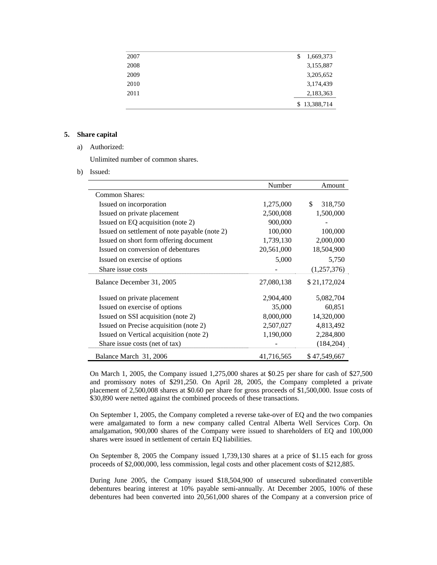| 2007 | \$<br>1,669,373 |
|------|-----------------|
| 2008 | 3,155,887       |
| 2009 | 3,205,652       |
| 2010 | 3,174,439       |
| 2011 | 2,183,363       |
|      | \$13,388,714    |

# **5. Share capital**

a) Authorized:

Unlimited number of common shares.

b) Issued:

|                                               | Number     | Amount        |
|-----------------------------------------------|------------|---------------|
| Common Shares:                                |            |               |
| Issued on incorporation                       | 1,275,000  | \$<br>318,750 |
| Issued on private placement                   | 2,500,008  | 1,500,000     |
| Issued on EQ acquisition (note 2)             | 900,000    |               |
| Issued on settlement of note payable (note 2) | 100,000    | 100,000       |
| Issued on short form offering document        | 1,739,130  | 2,000,000     |
| Issued on conversion of debentures            | 20,561,000 | 18,504,900    |
| Issued on exercise of options                 | 5,000      | 5,750         |
| Share issue costs                             |            | (1,257,376)   |
| Balance December 31, 2005                     | 27,080,138 | \$21,172,024  |
| Issued on private placement                   | 2,904,400  | 5,082,704     |
| Issued on exercise of options                 | 35,000     | 60,851        |
| Issued on SSI acquisition (note 2)            | 8,000,000  | 14,320,000    |
| Issued on Precise acquisition (note 2)        | 2,507,027  | 4,813,492     |
| Issued on Vertical acquisition (note 2)       | 1,190,000  | 2,284,800     |
| Share issue costs (net of tax)                |            | (184,204)     |
| Balance March 31, 2006                        | 41,716,565 | \$47,549,667  |

On March 1, 2005, the Company issued 1,275,000 shares at \$0.25 per share for cash of \$27,500 and promissory notes of \$291,250. On April 28, 2005, the Company completed a private placement of 2,500,008 shares at \$0.60 per share for gross proceeds of \$1,500,000. Issue costs of \$30,890 were netted against the combined proceeds of these transactions.

On September 1, 2005, the Company completed a reverse take-over of EQ and the two companies were amalgamated to form a new company called Central Alberta Well Services Corp. On amalgamation, 900,000 shares of the Company were issued to shareholders of EQ and 100,000 shares were issued in settlement of certain EQ liabilities.

On September 8, 2005 the Company issued 1,739,130 shares at a price of \$1.15 each for gross proceeds of \$2,000,000, less commission, legal costs and other placement costs of \$212,885.

During June 2005, the Company issued \$18,504,900 of unsecured subordinated convertible debentures bearing interest at 10% payable semi-annually. At December 2005, 100% of these debentures had been converted into 20,561,000 shares of the Company at a conversion price of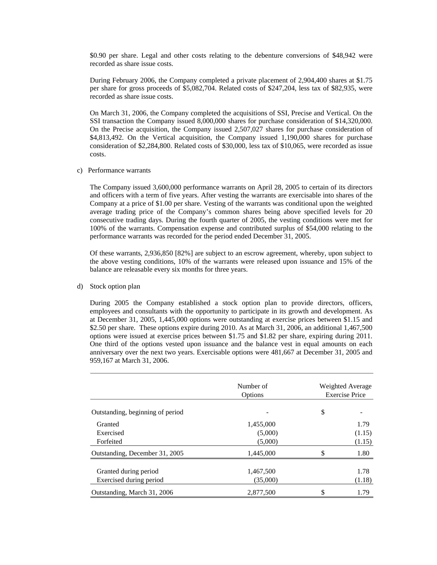\$0.90 per share. Legal and other costs relating to the debenture conversions of \$48,942 were recorded as share issue costs.

During February 2006, the Company completed a private placement of 2,904,400 shares at \$1.75 per share for gross proceeds of \$5,082,704. Related costs of \$247,204, less tax of \$82,935, were recorded as share issue costs.

On March 31, 2006, the Company completed the acquisitions of SSI, Precise and Vertical. On the SSI transaction the Company issued 8,000,000 shares for purchase consideration of \$14,320,000. On the Precise acquisition, the Company issued 2,507,027 shares for purchase consideration of \$4,813,492. On the Vertical acquisition, the Company issued 1,190,000 shares for purchase consideration of \$2,284,800. Related costs of \$30,000, less tax of \$10,065, were recorded as issue costs.

c) Performance warrants

The Company issued 3,600,000 performance warrants on April 28, 2005 to certain of its directors and officers with a term of five years. After vesting the warrants are exercisable into shares of the Company at a price of \$1.00 per share. Vesting of the warrants was conditional upon the weighted average trading price of the Company's common shares being above specified levels for 20 consecutive trading days. During the fourth quarter of 2005, the vesting conditions were met for 100% of the warrants. Compensation expense and contributed surplus of \$54,000 relating to the performance warrants was recorded for the period ended December 31, 2005.

Of these warrants, 2,936,850 [82%] are subject to an escrow agreement, whereby, upon subject to the above vesting conditions, 10% of the warrants were released upon issuance and 15% of the balance are releasable every six months for three years.

# d) Stock option plan

During 2005 the Company established a stock option plan to provide directors, officers, employees and consultants with the opportunity to participate in its growth and development. As at December 31, 2005, 1,445,000 options were outstanding at exercise prices between \$1.15 and \$2.50 per share. These options expire during 2010. As at March 31, 2006, an additional 1,467,500 options were issued at exercise prices between \$1.75 and \$1.82 per share, expiring during 2011. One third of the options vested upon issuance and the balance vest in equal amounts on each anniversary over the next two years. Exercisable options were 481,667 at December 31, 2005 and 959,167 at March 31, 2006.

|                                  | Number of<br>Options | <b>Weighted Average</b><br><b>Exercise Price</b> |
|----------------------------------|----------------------|--------------------------------------------------|
| Outstanding, beginning of period |                      | \$                                               |
| Granted                          | 1,455,000            | 1.79                                             |
| Exercised                        | (5,000)              | (1.15)                                           |
| Forfeited                        | (5,000)              | (1.15)                                           |
| Outstanding, December 31, 2005   | 1,445,000            | \$<br>1.80                                       |
| Granted during period            | 1,467,500            | 1.78                                             |
| Exercised during period          | (35,000)             | (1.18)                                           |
| Outstanding, March 31, 2006      | 2,877,500            | \$<br>1.79                                       |